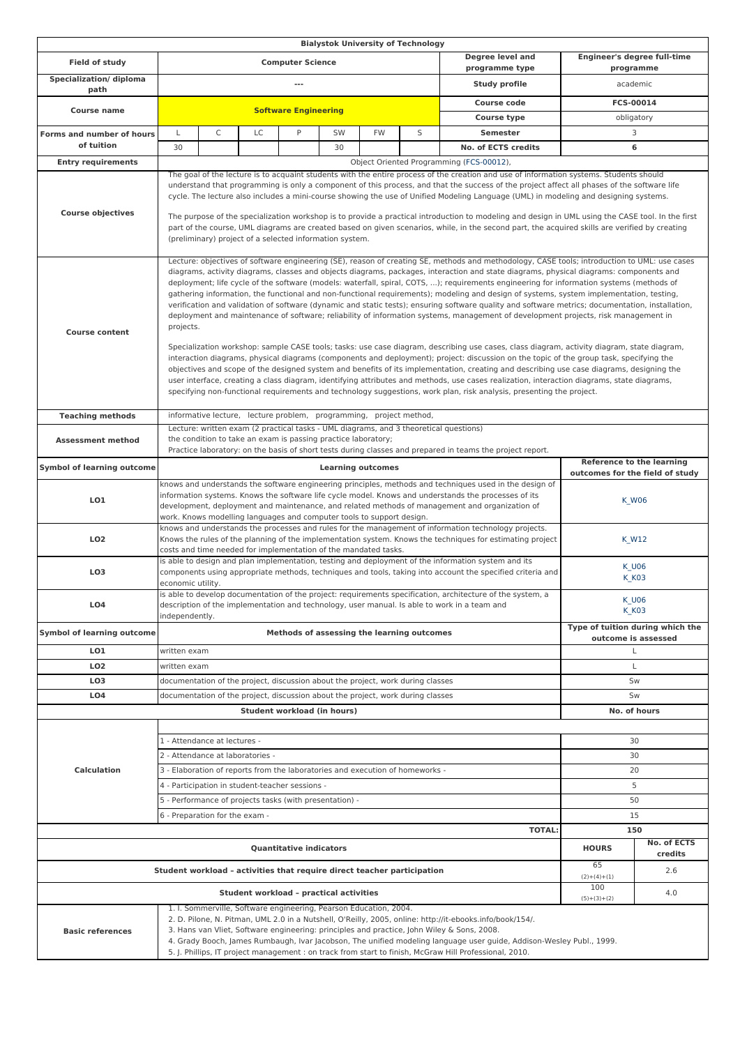|                                                                                                                                                                                                                                                                                                                                                                                                                                                                     |                                                                                                                                                                                                                                                                                                                                                                                                                                                                                                                                                                                                                                                                                                                                                                                                                                                                                                                                                                                                                                                                                                                                                                                                                                                                                                                                                                                                                                                                                                                                                                                                 |                                                                                                                                                                                                                                                                                                                                                                                                                                                                                                                                                                                                                                                                                                                                                                                                  |    |    |                             |                      | <b>Bialystok University of Technology</b>               |                                           |                                          |              |  |  |
|---------------------------------------------------------------------------------------------------------------------------------------------------------------------------------------------------------------------------------------------------------------------------------------------------------------------------------------------------------------------------------------------------------------------------------------------------------------------|-------------------------------------------------------------------------------------------------------------------------------------------------------------------------------------------------------------------------------------------------------------------------------------------------------------------------------------------------------------------------------------------------------------------------------------------------------------------------------------------------------------------------------------------------------------------------------------------------------------------------------------------------------------------------------------------------------------------------------------------------------------------------------------------------------------------------------------------------------------------------------------------------------------------------------------------------------------------------------------------------------------------------------------------------------------------------------------------------------------------------------------------------------------------------------------------------------------------------------------------------------------------------------------------------------------------------------------------------------------------------------------------------------------------------------------------------------------------------------------------------------------------------------------------------------------------------------------------------|--------------------------------------------------------------------------------------------------------------------------------------------------------------------------------------------------------------------------------------------------------------------------------------------------------------------------------------------------------------------------------------------------------------------------------------------------------------------------------------------------------------------------------------------------------------------------------------------------------------------------------------------------------------------------------------------------------------------------------------------------------------------------------------------------|----|----|-----------------------------|----------------------|---------------------------------------------------------|-------------------------------------------|------------------------------------------|--------------|--|--|
| Field of study                                                                                                                                                                                                                                                                                                                                                                                                                                                      | <b>Computer Science</b>                                                                                                                                                                                                                                                                                                                                                                                                                                                                                                                                                                                                                                                                                                                                                                                                                                                                                                                                                                                                                                                                                                                                                                                                                                                                                                                                                                                                                                                                                                                                                                         |                                                                                                                                                                                                                                                                                                                                                                                                                                                                                                                                                                                                                                                                                                                                                                                                  |    |    |                             |                      |                                                         | <b>Degree level and</b><br>programme type | Engineer's degree full-time<br>programme |              |  |  |
| Specialization/ diploma<br>path                                                                                                                                                                                                                                                                                                                                                                                                                                     | $\overline{a}$<br><b>Study profile</b>                                                                                                                                                                                                                                                                                                                                                                                                                                                                                                                                                                                                                                                                                                                                                                                                                                                                                                                                                                                                                                                                                                                                                                                                                                                                                                                                                                                                                                                                                                                                                          |                                                                                                                                                                                                                                                                                                                                                                                                                                                                                                                                                                                                                                                                                                                                                                                                  |    |    |                             |                      | academic                                                |                                           |                                          |              |  |  |
|                                                                                                                                                                                                                                                                                                                                                                                                                                                                     |                                                                                                                                                                                                                                                                                                                                                                                                                                                                                                                                                                                                                                                                                                                                                                                                                                                                                                                                                                                                                                                                                                                                                                                                                                                                                                                                                                                                                                                                                                                                                                                                 | <b>Course code</b><br><b>Software Engineering</b>                                                                                                                                                                                                                                                                                                                                                                                                                                                                                                                                                                                                                                                                                                                                                |    |    |                             | FCS-00014            |                                                         |                                           |                                          |              |  |  |
| <b>Course name</b>                                                                                                                                                                                                                                                                                                                                                                                                                                                  |                                                                                                                                                                                                                                                                                                                                                                                                                                                                                                                                                                                                                                                                                                                                                                                                                                                                                                                                                                                                                                                                                                                                                                                                                                                                                                                                                                                                                                                                                                                                                                                                 |                                                                                                                                                                                                                                                                                                                                                                                                                                                                                                                                                                                                                                                                                                                                                                                                  |    |    |                             |                      |                                                         | <b>Course type</b>                        | obligatory                               |              |  |  |
| Forms and number of hours                                                                                                                                                                                                                                                                                                                                                                                                                                           | L                                                                                                                                                                                                                                                                                                                                                                                                                                                                                                                                                                                                                                                                                                                                                                                                                                                                                                                                                                                                                                                                                                                                                                                                                                                                                                                                                                                                                                                                                                                                                                                               | C                                                                                                                                                                                                                                                                                                                                                                                                                                                                                                                                                                                                                                                                                                                                                                                                | LC | P  | SW                          | <b>FW</b>            | S                                                       | <b>Semester</b>                           |                                          | 3            |  |  |
| of tuition                                                                                                                                                                                                                                                                                                                                                                                                                                                          | 30                                                                                                                                                                                                                                                                                                                                                                                                                                                                                                                                                                                                                                                                                                                                                                                                                                                                                                                                                                                                                                                                                                                                                                                                                                                                                                                                                                                                                                                                                                                                                                                              |                                                                                                                                                                                                                                                                                                                                                                                                                                                                                                                                                                                                                                                                                                                                                                                                  |    |    | 30                          |                      |                                                         | No. of ECTS credits                       |                                          | 6            |  |  |
| <b>Entry requirements</b>                                                                                                                                                                                                                                                                                                                                                                                                                                           | Object Oriented Programming (FCS-00012),                                                                                                                                                                                                                                                                                                                                                                                                                                                                                                                                                                                                                                                                                                                                                                                                                                                                                                                                                                                                                                                                                                                                                                                                                                                                                                                                                                                                                                                                                                                                                        |                                                                                                                                                                                                                                                                                                                                                                                                                                                                                                                                                                                                                                                                                                                                                                                                  |    |    |                             |                      |                                                         |                                           |                                          |              |  |  |
| <b>Course objectives</b>                                                                                                                                                                                                                                                                                                                                                                                                                                            |                                                                                                                                                                                                                                                                                                                                                                                                                                                                                                                                                                                                                                                                                                                                                                                                                                                                                                                                                                                                                                                                                                                                                                                                                                                                                                                                                                                                                                                                                                                                                                                                 | The goal of the lecture is to acquaint students with the entire process of the creation and use of information systems. Students should<br>understand that programming is only a component of this process, and that the success of the project affect all phases of the software life<br>cycle. The lecture also includes a mini-course showing the use of Unified Modeling Language (UML) in modeling and designing systems.<br>The purpose of the specialization workshop is to provide a practical introduction to modeling and design in UML using the CASE tool. In the first<br>part of the course, UML diagrams are created based on given scenarios, while, in the second part, the acquired skills are verified by creating<br>(preliminary) project of a selected information system. |    |    |                             |                      |                                                         |                                           |                                          |              |  |  |
| <b>Course content</b>                                                                                                                                                                                                                                                                                                                                                                                                                                               | Lecture: objectives of software engineering (SE), reason of creating SE, methods and methodology, CASE tools; introduction to UML: use cases<br>diagrams, activity diagrams, classes and objects diagrams, packages, interaction and state diagrams, physical diagrams: components and<br>deployment; life cycle of the software (models: waterfall, spiral, COTS, ); requirements engineering for information systems (methods of<br>gathering information, the functional and non-functional requirements); modeling and design of systems, system implementation, testing,<br>verification and validation of software (dynamic and static tests); ensuring software quality and software metrics; documentation, installation,<br>deployment and maintenance of software; reliability of information systems, management of development projects, risk management in<br>projects.<br>Specialization workshop: sample CASE tools; tasks: use case diagram, describing use cases, class diagram, activity diagram, state diagram,<br>interaction diagrams, physical diagrams (components and deployment); project: discussion on the topic of the group task, specifying the<br>objectives and scope of the designed system and benefits of its implementation, creating and describing use case diagrams, designing the<br>user interface, creating a class diagram, identifying attributes and methods, use cases realization, interaction diagrams, state diagrams,<br>specifying non-functional requirements and technology suggestions, work plan, risk analysis, presenting the project. |                                                                                                                                                                                                                                                                                                                                                                                                                                                                                                                                                                                                                                                                                                                                                                                                  |    |    |                             |                      |                                                         |                                           |                                          |              |  |  |
| <b>Teaching methods</b>                                                                                                                                                                                                                                                                                                                                                                                                                                             | informative lecture, lecture problem, programming, project method,                                                                                                                                                                                                                                                                                                                                                                                                                                                                                                                                                                                                                                                                                                                                                                                                                                                                                                                                                                                                                                                                                                                                                                                                                                                                                                                                                                                                                                                                                                                              |                                                                                                                                                                                                                                                                                                                                                                                                                                                                                                                                                                                                                                                                                                                                                                                                  |    |    |                             |                      |                                                         |                                           |                                          |              |  |  |
| <b>Assessment method</b>                                                                                                                                                                                                                                                                                                                                                                                                                                            | Lecture: written exam (2 practical tasks - UML diagrams, and 3 theoretical questions)<br>the condition to take an exam is passing practice laboratory;<br>Practice laboratory: on the basis of short tests during classes and prepared in teams the project report.                                                                                                                                                                                                                                                                                                                                                                                                                                                                                                                                                                                                                                                                                                                                                                                                                                                                                                                                                                                                                                                                                                                                                                                                                                                                                                                             |                                                                                                                                                                                                                                                                                                                                                                                                                                                                                                                                                                                                                                                                                                                                                                                                  |    |    |                             |                      |                                                         |                                           |                                          |              |  |  |
| <b>Symbol of learning outcome</b>                                                                                                                                                                                                                                                                                                                                                                                                                                   | <b>Reference to the learning</b><br><b>Learning outcomes</b><br>outcomes for the field of study                                                                                                                                                                                                                                                                                                                                                                                                                                                                                                                                                                                                                                                                                                                                                                                                                                                                                                                                                                                                                                                                                                                                                                                                                                                                                                                                                                                                                                                                                                 |                                                                                                                                                                                                                                                                                                                                                                                                                                                                                                                                                                                                                                                                                                                                                                                                  |    |    |                             |                      |                                                         |                                           |                                          |              |  |  |
| LO1                                                                                                                                                                                                                                                                                                                                                                                                                                                                 | knows and understands the software engineering principles, methods and techniques used in the design of<br>information systems. Knows the software life cycle model. Knows and understands the processes of its<br>development, deployment and maintenance, and related methods of management and organization of<br>work. Knows modelling languages and computer tools to support design.                                                                                                                                                                                                                                                                                                                                                                                                                                                                                                                                                                                                                                                                                                                                                                                                                                                                                                                                                                                                                                                                                                                                                                                                      |                                                                                                                                                                                                                                                                                                                                                                                                                                                                                                                                                                                                                                                                                                                                                                                                  |    |    |                             | <b>K_W06</b>         |                                                         |                                           |                                          |              |  |  |
| LO <sub>2</sub>                                                                                                                                                                                                                                                                                                                                                                                                                                                     | knows and understands the processes and rules for the management of information technology projects.<br>Knows the rules of the planning of the implementation system. Knows the techniques for estimating project<br>costs and time needed for implementation of the mandated tasks.                                                                                                                                                                                                                                                                                                                                                                                                                                                                                                                                                                                                                                                                                                                                                                                                                                                                                                                                                                                                                                                                                                                                                                                                                                                                                                            |                                                                                                                                                                                                                                                                                                                                                                                                                                                                                                                                                                                                                                                                                                                                                                                                  |    |    |                             | K_W12                |                                                         |                                           |                                          |              |  |  |
| LO <sub>3</sub>                                                                                                                                                                                                                                                                                                                                                                                                                                                     | is able to design and plan implementation, testing and deployment of the information system and its<br><b>K_U06</b><br>components using appropriate methods, techniques and tools, taking into account the specified criteria and<br><b>K_K03</b><br>economic utility.                                                                                                                                                                                                                                                                                                                                                                                                                                                                                                                                                                                                                                                                                                                                                                                                                                                                                                                                                                                                                                                                                                                                                                                                                                                                                                                          |                                                                                                                                                                                                                                                                                                                                                                                                                                                                                                                                                                                                                                                                                                                                                                                                  |    |    |                             |                      |                                                         |                                           |                                          |              |  |  |
| LO <sub>4</sub>                                                                                                                                                                                                                                                                                                                                                                                                                                                     | is able to develop documentation of the project: requirements specification, architecture of the system, a<br>description of the implementation and technology, user manual. Is able to work in a team and<br>independently.                                                                                                                                                                                                                                                                                                                                                                                                                                                                                                                                                                                                                                                                                                                                                                                                                                                                                                                                                                                                                                                                                                                                                                                                                                                                                                                                                                    |                                                                                                                                                                                                                                                                                                                                                                                                                                                                                                                                                                                                                                                                                                                                                                                                  |    |    |                             |                      | <b>K_U06</b><br><b>K_K03</b>                            |                                           |                                          |              |  |  |
| <b>Symbol of learning outcome</b>                                                                                                                                                                                                                                                                                                                                                                                                                                   | Methods of assessing the learning outcomes                                                                                                                                                                                                                                                                                                                                                                                                                                                                                                                                                                                                                                                                                                                                                                                                                                                                                                                                                                                                                                                                                                                                                                                                                                                                                                                                                                                                                                                                                                                                                      |                                                                                                                                                                                                                                                                                                                                                                                                                                                                                                                                                                                                                                                                                                                                                                                                  |    |    |                             |                      | Type of tuition during which the<br>outcome is assessed |                                           |                                          |              |  |  |
| LO1                                                                                                                                                                                                                                                                                                                                                                                                                                                                 |                                                                                                                                                                                                                                                                                                                                                                                                                                                                                                                                                                                                                                                                                                                                                                                                                                                                                                                                                                                                                                                                                                                                                                                                                                                                                                                                                                                                                                                                                                                                                                                                 | written exam                                                                                                                                                                                                                                                                                                                                                                                                                                                                                                                                                                                                                                                                                                                                                                                     |    |    |                             |                      | L                                                       |                                           |                                          |              |  |  |
| LO <sub>2</sub>                                                                                                                                                                                                                                                                                                                                                                                                                                                     | written exam                                                                                                                                                                                                                                                                                                                                                                                                                                                                                                                                                                                                                                                                                                                                                                                                                                                                                                                                                                                                                                                                                                                                                                                                                                                                                                                                                                                                                                                                                                                                                                                    |                                                                                                                                                                                                                                                                                                                                                                                                                                                                                                                                                                                                                                                                                                                                                                                                  |    |    |                             |                      |                                                         | Г                                         |                                          |              |  |  |
| LO <sub>3</sub>                                                                                                                                                                                                                                                                                                                                                                                                                                                     | documentation of the project, discussion about the project, work during classes                                                                                                                                                                                                                                                                                                                                                                                                                                                                                                                                                                                                                                                                                                                                                                                                                                                                                                                                                                                                                                                                                                                                                                                                                                                                                                                                                                                                                                                                                                                 |                                                                                                                                                                                                                                                                                                                                                                                                                                                                                                                                                                                                                                                                                                                                                                                                  |    |    |                             |                      |                                                         | Sw                                        |                                          |              |  |  |
| L <sub>O</sub> 4                                                                                                                                                                                                                                                                                                                                                                                                                                                    | documentation of the project, discussion about the project, work during classes                                                                                                                                                                                                                                                                                                                                                                                                                                                                                                                                                                                                                                                                                                                                                                                                                                                                                                                                                                                                                                                                                                                                                                                                                                                                                                                                                                                                                                                                                                                 |                                                                                                                                                                                                                                                                                                                                                                                                                                                                                                                                                                                                                                                                                                                                                                                                  |    |    |                             |                      |                                                         | Sw                                        |                                          |              |  |  |
|                                                                                                                                                                                                                                                                                                                                                                                                                                                                     |                                                                                                                                                                                                                                                                                                                                                                                                                                                                                                                                                                                                                                                                                                                                                                                                                                                                                                                                                                                                                                                                                                                                                                                                                                                                                                                                                                                                                                                                                                                                                                                                 |                                                                                                                                                                                                                                                                                                                                                                                                                                                                                                                                                                                                                                                                                                                                                                                                  |    |    | Student workload (in hours) |                      |                                                         |                                           |                                          | No. of hours |  |  |
|                                                                                                                                                                                                                                                                                                                                                                                                                                                                     |                                                                                                                                                                                                                                                                                                                                                                                                                                                                                                                                                                                                                                                                                                                                                                                                                                                                                                                                                                                                                                                                                                                                                                                                                                                                                                                                                                                                                                                                                                                                                                                                 |                                                                                                                                                                                                                                                                                                                                                                                                                                                                                                                                                                                                                                                                                                                                                                                                  |    |    |                             |                      |                                                         |                                           |                                          |              |  |  |
|                                                                                                                                                                                                                                                                                                                                                                                                                                                                     | 1 - Attendance at lectures -                                                                                                                                                                                                                                                                                                                                                                                                                                                                                                                                                                                                                                                                                                                                                                                                                                                                                                                                                                                                                                                                                                                                                                                                                                                                                                                                                                                                                                                                                                                                                                    |                                                                                                                                                                                                                                                                                                                                                                                                                                                                                                                                                                                                                                                                                                                                                                                                  |    |    |                             |                      |                                                         |                                           |                                          | 30           |  |  |
|                                                                                                                                                                                                                                                                                                                                                                                                                                                                     | 2 - Attendance at laboratories -                                                                                                                                                                                                                                                                                                                                                                                                                                                                                                                                                                                                                                                                                                                                                                                                                                                                                                                                                                                                                                                                                                                                                                                                                                                                                                                                                                                                                                                                                                                                                                |                                                                                                                                                                                                                                                                                                                                                                                                                                                                                                                                                                                                                                                                                                                                                                                                  |    |    |                             |                      |                                                         |                                           | 30                                       |              |  |  |
| <b>Calculation</b>                                                                                                                                                                                                                                                                                                                                                                                                                                                  |                                                                                                                                                                                                                                                                                                                                                                                                                                                                                                                                                                                                                                                                                                                                                                                                                                                                                                                                                                                                                                                                                                                                                                                                                                                                                                                                                                                                                                                                                                                                                                                                 | 3 - Elaboration of reports from the laboratories and execution of homeworks -                                                                                                                                                                                                                                                                                                                                                                                                                                                                                                                                                                                                                                                                                                                    |    |    | 20                          |                      |                                                         |                                           |                                          |              |  |  |
|                                                                                                                                                                                                                                                                                                                                                                                                                                                                     |                                                                                                                                                                                                                                                                                                                                                                                                                                                                                                                                                                                                                                                                                                                                                                                                                                                                                                                                                                                                                                                                                                                                                                                                                                                                                                                                                                                                                                                                                                                                                                                                 | 4 - Participation in student-teacher sessions -                                                                                                                                                                                                                                                                                                                                                                                                                                                                                                                                                                                                                                                                                                                                                  |    | 5  |                             |                      |                                                         |                                           |                                          |              |  |  |
|                                                                                                                                                                                                                                                                                                                                                                                                                                                                     |                                                                                                                                                                                                                                                                                                                                                                                                                                                                                                                                                                                                                                                                                                                                                                                                                                                                                                                                                                                                                                                                                                                                                                                                                                                                                                                                                                                                                                                                                                                                                                                                 | 5 - Performance of projects tasks (with presentation) -                                                                                                                                                                                                                                                                                                                                                                                                                                                                                                                                                                                                                                                                                                                                          |    | 50 |                             |                      |                                                         |                                           |                                          |              |  |  |
|                                                                                                                                                                                                                                                                                                                                                                                                                                                                     |                                                                                                                                                                                                                                                                                                                                                                                                                                                                                                                                                                                                                                                                                                                                                                                                                                                                                                                                                                                                                                                                                                                                                                                                                                                                                                                                                                                                                                                                                                                                                                                                 | 6 - Preparation for the exam -                                                                                                                                                                                                                                                                                                                                                                                                                                                                                                                                                                                                                                                                                                                                                                   |    |    |                             |                      |                                                         |                                           |                                          | 15           |  |  |
| <b>TOTAL:</b>                                                                                                                                                                                                                                                                                                                                                                                                                                                       |                                                                                                                                                                                                                                                                                                                                                                                                                                                                                                                                                                                                                                                                                                                                                                                                                                                                                                                                                                                                                                                                                                                                                                                                                                                                                                                                                                                                                                                                                                                                                                                                 |                                                                                                                                                                                                                                                                                                                                                                                                                                                                                                                                                                                                                                                                                                                                                                                                  |    |    |                             |                      | 150                                                     |                                           |                                          |              |  |  |
| <b>Quantitative indicators</b>                                                                                                                                                                                                                                                                                                                                                                                                                                      |                                                                                                                                                                                                                                                                                                                                                                                                                                                                                                                                                                                                                                                                                                                                                                                                                                                                                                                                                                                                                                                                                                                                                                                                                                                                                                                                                                                                                                                                                                                                                                                                 |                                                                                                                                                                                                                                                                                                                                                                                                                                                                                                                                                                                                                                                                                                                                                                                                  |    |    |                             |                      | <b>HOURS</b>                                            | No. of ECTS<br>credits                    |                                          |              |  |  |
| Student workload - activities that require direct teacher participation                                                                                                                                                                                                                                                                                                                                                                                             |                                                                                                                                                                                                                                                                                                                                                                                                                                                                                                                                                                                                                                                                                                                                                                                                                                                                                                                                                                                                                                                                                                                                                                                                                                                                                                                                                                                                                                                                                                                                                                                                 |                                                                                                                                                                                                                                                                                                                                                                                                                                                                                                                                                                                                                                                                                                                                                                                                  |    |    |                             |                      | 65<br>$(2)+(4)+(1)$                                     | 2.6                                       |                                          |              |  |  |
| Student workload - practical activities<br>1. I. Sommerville, Software engineering, Pearson Education, 2004.                                                                                                                                                                                                                                                                                                                                                        |                                                                                                                                                                                                                                                                                                                                                                                                                                                                                                                                                                                                                                                                                                                                                                                                                                                                                                                                                                                                                                                                                                                                                                                                                                                                                                                                                                                                                                                                                                                                                                                                 |                                                                                                                                                                                                                                                                                                                                                                                                                                                                                                                                                                                                                                                                                                                                                                                                  |    |    |                             | 100<br>$(5)+(3)+(2)$ | 4.0                                                     |                                           |                                          |              |  |  |
| 2. D. Pilone, N. Pitman, UML 2.0 in a Nutshell, O'Reilly, 2005, online: http://it-ebooks.info/book/154/.<br>3. Hans van Vliet, Software engineering: principles and practice, John Wiley & Sons, 2008.<br><b>Basic references</b><br>4. Grady Booch, James Rumbaugh, Ivar Jacobson, The unified modeling language user guide, Addison-Wesley Publ., 1999.<br>5. J. Phillips, IT project management : on track from start to finish, McGraw Hill Professional, 2010. |                                                                                                                                                                                                                                                                                                                                                                                                                                                                                                                                                                                                                                                                                                                                                                                                                                                                                                                                                                                                                                                                                                                                                                                                                                                                                                                                                                                                                                                                                                                                                                                                 |                                                                                                                                                                                                                                                                                                                                                                                                                                                                                                                                                                                                                                                                                                                                                                                                  |    |    |                             |                      |                                                         |                                           |                                          |              |  |  |